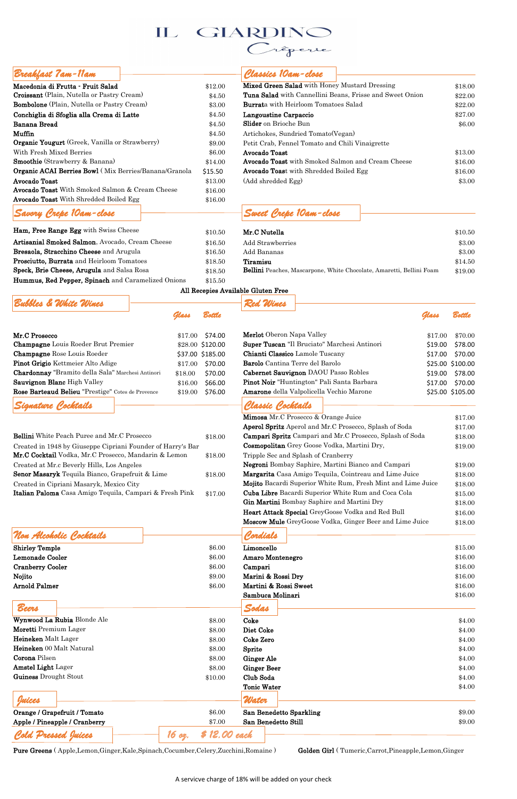| Macedonia di Frutta - Fruit Salad                               | \$12.00 | Mixed Green Salad with Honey Mustard Dressing            | \$18.00 |
|-----------------------------------------------------------------|---------|----------------------------------------------------------|---------|
| <b>Croissant</b> (Plain, Nutella or Pastry Cream)               | \$4.50  | Tuna Salad with Cannellini Beans, Frisse and Sweet Onion | \$22.00 |
| <b>Bombolone</b> (Plain, Nutella or Pastry Cream)               | \$3.00  | <b>Burrata</b> with Heirloom Tomatoes Salad              | \$22.00 |
| Conchiglia di Sfoglia alla Crema di Latte                       | \$4.50  | Langoustine Carpaccio                                    | \$27.00 |
| Banana Bread                                                    | \$4.50  | <b>Slider</b> on Brioche Bun                             | \$6.00  |
| Muffin                                                          | \$4.50  | Artichokes, Sundried Tomato (Vegan)                      |         |
| Organic Yougurt (Greek, Vanilla or Strawberry)                  | \$9.00  | Petit Crab, Fennel Tomato and Chili Vinaigrette          |         |
| With Fresh Mixed Berries                                        | \$6.00  | Avocado Toast                                            | \$13.00 |
| <b>Smoothie</b> (Strawberry & Banana)                           | \$14.00 | Avocado Toast with Smoked Salmon and Cream Cheese        | \$16.00 |
| <b>Organic ACAI Berries Bowl</b> (Mix Berries/Banana/Granola    | \$15.50 | Avocado Toast with Shredded Boiled Egg                   | \$16.00 |
| Avocado Toast                                                   | \$13.00 | (Add shredded Egg)                                       | \$3.00  |
| $\mathbf{A}$ and $\mathbf{A}$ and $\mathbf{A}$ and $\mathbf{A}$ |         |                                                          |         |

# *Breakfast 7am-11am Classics 10am-close*  $\mathbf{H}$

| Macedonia di Frutta - Fruit Salad                     | \$12.00 | Mixed Green Salad with Honey Mustard Dressin      |  |  |
|-------------------------------------------------------|---------|---------------------------------------------------|--|--|
| <b>Croissant</b> (Plain, Nutella or Pastry Cream)     | \$4.50  | Tuna Salad with Cannellini Beans, Frisse and S    |  |  |
| <b>Bombolone</b> (Plain, Nutella or Pastry Cream)     | \$3.00  | <b>Burrata</b> with Heirloom Tomatoes Salad       |  |  |
| Conchiglia di Sfoglia alla Crema di Latte             | \$4.50  | Langoustine Carpaccio                             |  |  |
| Banana Bread                                          | \$4.50  | <b>Slider</b> on Brioche Bun                      |  |  |
| Muffin                                                | \$4.50  | Artichokes, Sundried Tomato (Vegan)               |  |  |
| Organic Yougurt (Greek, Vanilla or Strawberry)        | \$9.00  | Petit Crab, Fennel Tomato and Chili Vinaigrette   |  |  |
| With Fresh Mixed Berries                              | \$6.00  | Avocado Toast                                     |  |  |
| <b>Smoothie</b> (Strawberry & Banana)                 | \$14.00 | <b>Avocado Toast</b> with Smoked Salmon and Cream |  |  |
| Organic ACAI Berries Bowl (Mix Berries/Banana/Granola | \$15.50 | Avocado Toast with Shredded Boiled Egg            |  |  |
| Avocado Toast                                         | \$13.00 | (Add shredded Egg)                                |  |  |
| Avocado Toast With Smoked Salmon & Cream Cheese       | \$16.00 |                                                   |  |  |
| Avocado Toast With Shredded Boiled Egg                | \$16.00 |                                                   |  |  |
| Savory Crepe 10am-close                               |         | Sweet Crepe 10am-close                            |  |  |

| Ham, Free Range Egg with Swiss Cheese              | \$10.50 | Mr.C Nutella                                                         | \$10.50 |
|----------------------------------------------------|---------|----------------------------------------------------------------------|---------|
| Artisanial Smoked Salmon, Avocado, Cream Cheese    | \$16.50 | Add Strawberries                                                     | \$3.00  |
| Bresaola, Stracchino Cheese and Arugula            | \$16.50 | Add Bananas                                                          | \$3.00  |
| Prosciutto, Burrata and Heirloom Tomatoes          | \$18.50 | Tiramisu                                                             | \$14.50 |
| Speck, Brie Cheese, Arugula and Salsa Rosa         | \$18.50 | Bellini Peaches, Mascarpone, White Chocolate, Amaretti, Bellini Foam | \$19.00 |
| Hummus, Red Pepper, Spinach and Caramelized Onions | \$15.50 |                                                                      |         |

### All Recepies Available Gluten Free

| Bubbles & White Wines                             |         |                             | Red Wines                                                    |         |                  |
|---------------------------------------------------|---------|-----------------------------|--------------------------------------------------------------|---------|------------------|
|                                                   | Glass   | <b><i><u>Bottle</u></i></b> |                                                              | Glass   | <b>Bottle</b>    |
| Mr.C Prosecco                                     |         | $$17.00$ \$74.00            | <b>Merlot</b> Oberon Napa Valley                             | \$17.00 | \$70.00          |
| <b>Champagne</b> Louis Roeder Brut Premier        |         | \$28.00 \$120.00            | Super Tuscan "Il Bruciato" Marchesi Antinori                 | \$19.00 | \$78.00          |
| <b>Champagne</b> Rose Louis Roeder                |         | \$37.00 \$185.00            | Chianti Classico Lamole Tuscany                              | \$17.00 | \$70.00          |
| <b>Pinot Grigio Kettmeier Alto Adige</b>          | \$17.00 | \$70.00                     | <b>Barolo</b> Cantina Terre del Barolo                       |         | \$25.00 \$100.00 |
| Chardonnay "Bramito della Sala" Marchesi Antinori | \$18.00 | \$70.00                     | Cabernet Sauvignon DAOU Passo Robles                         |         | \$19.00 \$78.00  |
| Sauvignon Blanc High Valley                       | \$16.00 | \$66.00                     | Pinot Noir "Huntington" Pali Santa Barbara                   | \$17.00 | \$70.00          |
| Rose Barteaud Belieu "Prestige" Cotes de Provence | \$19.00 | \$76.00                     | Amarone della Valpolicella Vechio Marone                     |         | \$25.00 \$105.00 |
| Signature Cocktails                               |         |                             | Classic Cocktails                                            |         |                  |
|                                                   |         |                             | Mimosa Mr.C Prosecco & Orange Juice                          |         | \$17.00          |
|                                                   |         |                             | <b>Aperol Spritz</b> Aperol and Mr C Prosecco Splash of Soda |         | \$1700           |

| <b>Bellini</b> White Peach Puree and Mr.C Prosecco          | \$18.00 | Campari Spritz Campari and Mr.C I        |
|-------------------------------------------------------------|---------|------------------------------------------|
| Created in 1948 by Giuseppe Cipriani Founder of Harry's Bar |         | Cosmopolitan Grey Goose Vodka, M         |
| Mr.C Cocktail Vodka, Mr.C Prosecco, Mandarin & Lemon        | \$18.00 | Tripple Sec and Splash of Cranberry      |
| Created at Mr.c Beverly Hills, Los Angeles                  |         | Negroni Bombay Saphire, Martini B        |
| <b>Senor Masaryk</b> Tequila Bianco, Grapefruit & Lime      | \$18.00 | Margarita Casa Amigo Tequila, Coin       |
| Created in Cipriani Masaryk, Mexico City                    |         | Mojito Bacardi Superior White Rum        |
| Italian Paloma Casa Amigo Tequila, Campari & Fresh Pink     | \$17.00 | <b>Cuba Libre Bacardi Superior White</b> |
|                                                             |         |                                          |

| Signature Cocktails                                         |         | Classic Cocktails                                             |         |
|-------------------------------------------------------------|---------|---------------------------------------------------------------|---------|
|                                                             |         | Mimosa Mr.C Prosecco & Orange Juice                           | \$17.00 |
|                                                             |         | <b>Aperol Spritz</b> Aperol and Mr.C Prosecco, Splash of Soda | \$17.00 |
| <b>Bellini</b> White Peach Puree and Mr.C Prosecco          | \$18.00 | Campari Spritz Campari and Mr.C Prosecco, Splash of Soda      | \$18.00 |
| Created in 1948 by Giuseppe Cipriani Founder of Harry's Bar |         | Cosmopolitan Grey Goose Vodka, Martini Dry,                   | \$19.00 |
| Mr.C Cocktail Vodka, Mr.C Prosecco, Mandarin & Lemon        | \$18.00 | Tripple Sec and Splash of Cranberry                           |         |
| Created at Mr.c Beverly Hills, Los Angeles                  |         | Negroni Bombay Saphire, Martini Bianco and Campari            | \$19.00 |
| Senor Masaryk Tequila Bianco, Grapefruit & Lime             | \$18.00 | Margarita Casa Amigo Tequila, Cointreau and Lime Juice        | \$18.00 |
| Created in Cipriani Masaryk, Mexico City                    |         | Mojito Bacardi Superior White Rum, Fresh Mint and Lime Juice  | \$18.00 |
| Italian Paloma Casa Amigo Tequila, Campari & Fresh Pink     | \$17.00 | <b>Cuba Libre</b> Bacardi Superior White Rum and Coca Cola    | \$15.00 |
|                                                             |         | Gin Martini Bombay Saphire and Martini Dry                    | \$18.00 |
|                                                             |         | <b>Heart Attack Special GreyGoose Vodka and Red Bull</b>      | \$16.00 |
|                                                             |         | Moscow Mule GreyGoose Vodka, Ginger Beer and Lime Juice       | \$18.00 |

## *Non Alcoholic Cocktails Cordials*

| <b>Shirley Temple</b>   | \$6.00 | Limoncello              | \$15.00 |
|-------------------------|--------|-------------------------|---------|
| Lemonade Cooler         | \$6.00 | <b>Amaro Montenegro</b> | \$16.00 |
| <b>Cranberry Cooler</b> | \$6.00 | Campari                 | \$16.00 |
| Nojito                  | \$9.00 | Marini & Rossi Dry      | \$16.00 |
| Arnold Palmer           | \$6.00 | Martini & Rossi Sweet   | \$16.00 |

| L'INNI L'AILLET               | $\phi$ U.UU             | watuuu wuwool dwccu     | $Q_1Q_2Q_3Q_4$ |
|-------------------------------|-------------------------|-------------------------|----------------|
|                               |                         | Sambuca Molinari        | \$16.00        |
| Beers                         |                         | Sodas                   |                |
| Wynwood La Rubia Blonde Ale   | \$8.00                  | Coke                    | \$4.00         |
| Moretti Premium Lager         | \$8.00                  | Diet Coke               | \$4.00         |
| Heineken Malt Lager           | \$8.00                  | Coke Zero               | \$4.00         |
| Heineken 00 Malt Natural      | \$8.00                  | Sprite                  | \$4.00         |
| Corona Pilsen                 | \$8.00                  | <b>Ginger Ale</b>       | \$4.00         |
| <b>Amstel Light Lager</b>     | \$8.00                  | <b>Ginger Beer</b>      | \$4.00         |
| Guiness Drought Stout         | \$10.00                 | Club Soda               | \$4.00         |
|                               |                         | <b>Tonic Water</b>      | \$4.00         |
| Juices                        |                         | Water                   |                |
| Orange / Grapefruit / Tomato  | \$6.00                  | San Benedetto Sparkling | \$9.00         |
| Apple / Pineapple / Cranberry | \$7.00                  | San Benedetto Still     | \$9.00         |
| Cold Pressed Juices           | \$ 12.00 each<br>16 ог. |                         |                |

Pure Greens (Apple,Lemon,Ginger,Kale,Spinach,Cocumber,Celery,Zucchini,Romaine) Golden Girl (Tumeric,Carrot,Pineapple,Lemon,Ginger